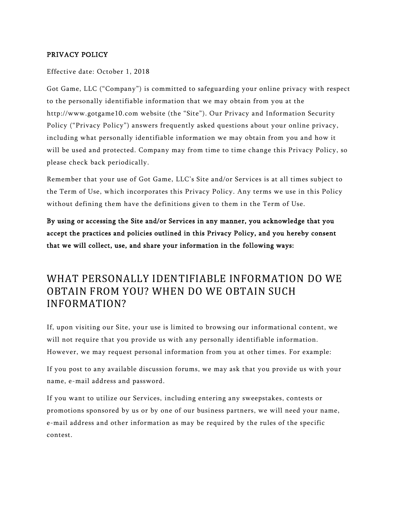### PRIVACY POLICY

#### Effective date: October 1, 2018

Got Game, LLC ("Company") is committed to safeguarding your online privacy with respect to the personally identifiable information that we may obtain from you at the http://www.gotgame10.com website (the "Site"). Our Privacy and Information Security Policy ("Privacy Policy") answers frequently asked questions about your online privacy, including what personally identifiable information we may obtain from you and how it will be used and protected. Company may from time to time change this Privacy Policy, so please check back periodically.

Remember that your use of Got Game, LLC's Site and/or Services is at all times subject to the Term of Use, which incorporates this Privacy Policy. Any terms we use in this Policy without defining them have the definitions given to them in the Term of Use.

By using or accessing the Site and/or Services in any manner, you acknowledge that you accept the practices and policies outlined in this Privacy Policy, and you hereby consent that we will collect, use, and share your information in the following ways:

## WHAT PERSONALLY IDENTIFIABLE INFORMATION DO WE OBTAIN FROM YOU? WHEN DO WE OBTAIN SUCH INFORMATION?

If, upon visiting our Site, your use is limited to browsing our informational content, we will not require that you provide us with any personally identifiable information. However, we may request personal information from you at other times. For example:

If you post to any available discussion forums, we may ask that you provide us with your name, e-mail address and password.

If you want to utilize our Services, including entering any sweepstakes, contests or promotions sponsored by us or by one of our business partners, we will need your name, e-mail address and other information as may be required by the rules of the specific contest.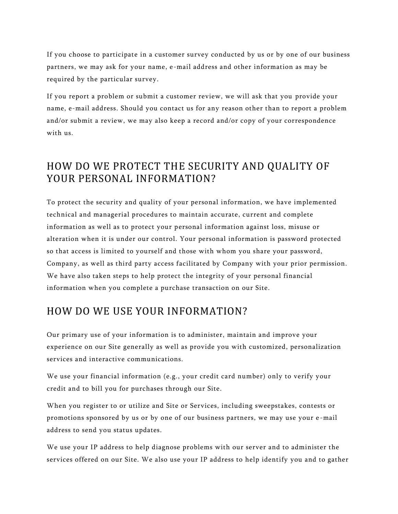If you choose to participate in a customer survey conducted by us or by one of our business partners, we may ask for your name, e-mail address and other information as may be required by the particular survey.

If you report a problem or submit a customer review, we will ask that you provide your name, e-mail address. Should you contact us for any reason other than to report a problem and/or submit a review, we may also keep a record and/or copy of your correspondence with us.

## HOW DO WE PROTECT THE SECURITY AND QUALITY OF YOUR PERSONAL INFORMATION?

To protect the security and quality of your personal information, we have implemented technical and managerial procedures to maintain accurate, current and complete information as well as to protect your personal information against loss, misuse or alteration when it is under our control. Your personal information is password protected so that access is limited to yourself and those with whom you share your password, Company, as well as third party access f acilitated by Company with your prior permission. We have also taken steps to help protect the integrity of your personal financial information when you complete a purchase transaction on our Site.

### HOW DO WE USE YOUR INFORMATION?

Our primary use of your information is to administer, maintain and improve your experience on our Site generally as well as provide you with customized, personalization services and interactive communications.

We use your financial information (e.g., your credit card number) only to verify your credit and to bill you for purchases through our Site.

When you register to or utilize and Site or Services, including sweepstakes, contests or promotions sponsored by us or by one of our business partners, we may use your e -mail address to send you status updates.

We use your IP address to help diagnose problems with our server and to administer the services offered on our Site. We also use your IP address to help identify you and to gather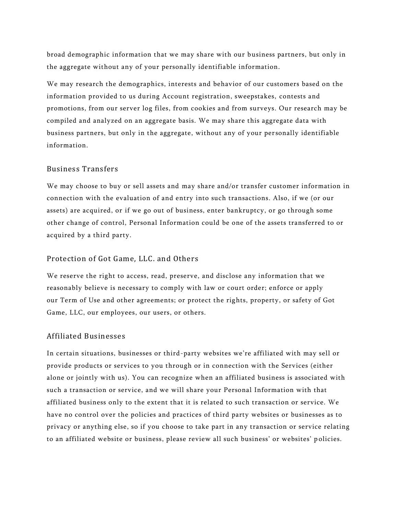broad demographic information that we may share with our business partners, but only in the aggregate without any of your personally identifiable information.

We may research the demographics, interests and behavior of our customers based on the information provided to us during Account registration, sweepstakes, contests and promotions, from our server log files, from cookies and from surveys. Our research may be compiled and analyzed on an aggregate basis. We may share this aggregate data with business partners, but only in the aggregate, without any of your personally identifiable information.

### Business Transfers

We may choose to buy or sell assets and may share and/or transfer customer information in connection with the evaluation of and entry into such transactions. Also, if we (or our assets) are acquired, or if we go out of business, enter bankruptcy, or go through some other change of control, Personal Information could be one of the assets transferred to or acquired by a third party.

#### Protection of Got Game, LLC. and Others

We reserve the right to access, read, preserve, and disclose any information that we reasonably believe is necessary to comply with law or court order; enforce or apply our Term of Use and other agreements; or protect the rights, property, or safety of Got Game, LLC, our employees, our users, or others.

#### Affiliated Businesses

In certain situations, businesses or third-party websites we're affiliated with may sell or provide products or services to you through or in connection with the Services (either alone or jointly with us). You can recognize when an affiliated business is associated with such a transaction or service, and we will share your Personal Information with that affiliated business only to the extent that it is related to such transaction or service. We have no control over the policies and practices of third party websites or businesses as to privacy or anything else, so if you choose to take part in any transaction or service relating to an affiliated website or business, please review all such business' or websites' p olicies.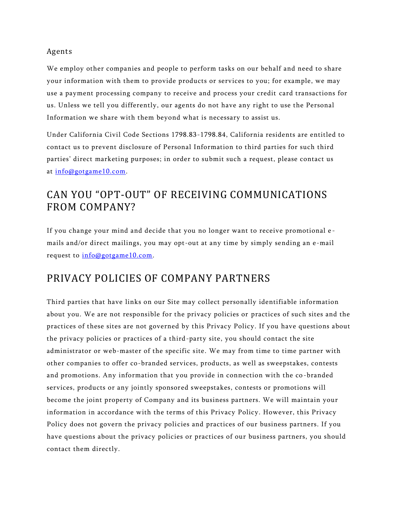### Agents

We employ other companies and people to perform tasks on our behalf and need to share your information with them to provide products or services to you; for example, we may use a payment processing company to receive and process your credit card transactions for us. Unless we tell you differently, our agents do not have any right to use the Personal Information we share with them beyond what is necessary to assist us.

Under California Civil Code Sections 1798.83-1798.84, California residents are entitled to contact us to prevent disclosure of Personal Information to third parties for such third parties' direct marketing purposes; in order to submit such a request, please contact us at [info@gotgame10.com.](mailto:info@gotgame10.com)

## CAN YOU "OPT-OUT" OF RECEIVING COMMUNICATIONS FROM COMPANY?

If you change your mind and decide that you no longer want to receive promotional e mails and/or direct mailings, you may opt-out at any time by simply sending an e-mail request to [info@gotgame10.com.](mailto:info@gotgame10.com)

## PRIVACY POLICIES OF COMPANY PARTNERS

Third parties that have links on our Site may collect personally identifiable information about you. We are not responsible for the privacy policies or practices of such sites and the practices of these sites are not governed by this Privacy Policy. If you have questions about the privacy policies or practices of a third-party site, you should contact the site administrator or web-master of the specific site. We may from time to time partner with other companies to offer co-branded services, products, as well as sweepstakes, contests and promotions. Any information that you provide in connection with the co -branded services, products or any jointly sponsored sweepstakes, contests or promotions will become the joint property of Company and its business partners. We will maintain your information in accordance with the terms of this Privacy Policy. However, this Privacy Policy does not govern the privacy policies and practices of our business partners. If you have questions about the privacy policies or practices of our business partners, you should contact them directly.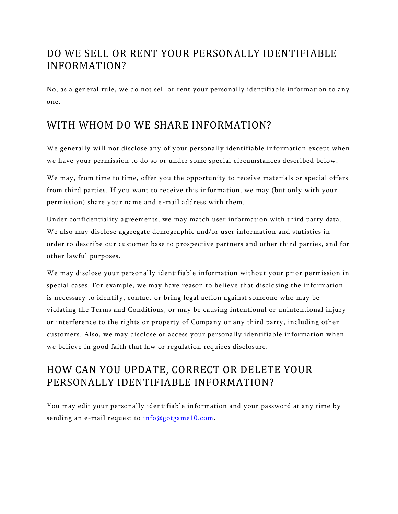# DO WE SELL OR RENT YOUR PERSONALLY IDENTIFIABLE INFORMATION?

No, as a general rule, we do not sell or rent your personally identifiable information to any one.

## WITH WHOM DO WE SHARE INFORMATION?

We generally will not disclose any of your personally identifiable information except when we have your permission to do so or under some special circumstances described below.

We may, from time to time, offer you the opportunity to receive materials or special offers from third parties. If you want to receive this information, we may (but only with your permission) share your name and e-mail address with them.

Under confidentiality agreements, we may match user information with third party data. We also may disclose aggregate demographic and/or user information and statistics in order to describe our customer base to prospective partners and other third parties, and for other lawful purposes.

We may disclose your personally identifiable information without your prior permission in special cases. For example, we may have reason to believe that disclosing the information is necessary to identify, contact or bring legal action against someone who may be violating the Terms and Conditions, or may be causing intentional or unintentional injury or interference to the rights or property of Company or any third party, including other customers. Also, we may disclose or access your personally identifiable information when we believe in good faith that law or regulation requires disclosure.

# HOW CAN YOU UPDATE, CORRECT OR DELETE YOUR PERSONALLY IDENTIFIABLE INFORMATION?

You may edit your personally identifiable information and your password at any time by sending an e-mail request to [info@gotgame10.com.](mailto:info@gotgame10.com)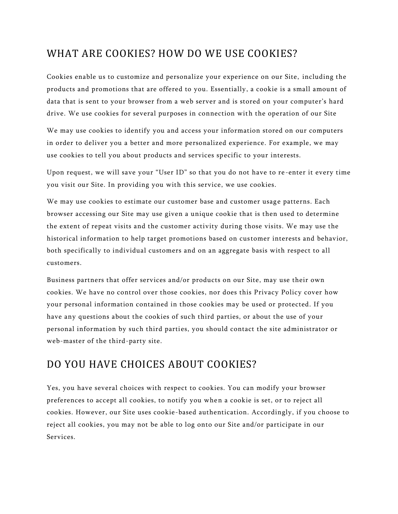## WHAT ARE COOKIES? HOW DO WE USE COOKIES?

Cookies enable us to customize and personalize your experience on our Site, including the products and promotions that are offered to you. Essentially, a cookie is a small amount of data that is sent to your browser from a web server and is stored on your computer's hard drive. We use cookies for several purposes in connection with the operation of our Site

We may use cookies to identify you and access your information stored on our computers in order to deliver you a better and more personalized experience. For example, we may use cookies to tell you about products and services specific to your interests.

Upon request, we will save your "User ID" so that you do not have to re -enter it every time you visit our Site. In providing you with this service, we use cookies.

We may use cookies to estimate our customer base and customer usage patterns. Each browser accessing our Site may use given a unique cookie that is then used to determine the extent of repeat visits and the customer activity during those visits. We may use the historical information to help target promotions based on customer interests and behavior, both specifically to individual customers and on an aggregate basis with respect to all customers.

Business partners that offer services and/or products on our Site, may use their own cookies. We have no control over those cookies, nor does this Privacy Policy cover how your personal information contained in those cookies may be used or protected. If you have any questions about the cookies of such third parties, or about the use of your personal information by such third parties, you should contact the site administrator or web-master of the third-party site.

## DO YOU HAVE CHOICES ABOUT COOKIES?

Yes, you have several choices with respect to cookies. You can modify your browser preferences to accept all cookies, to notify you when a cookie is set, or to reject all cookies. However, our Site uses cookie-based authentication. Accordingly, if you choose to reject all cookies, you may not be able to log onto our Site and/or participate in our Services.